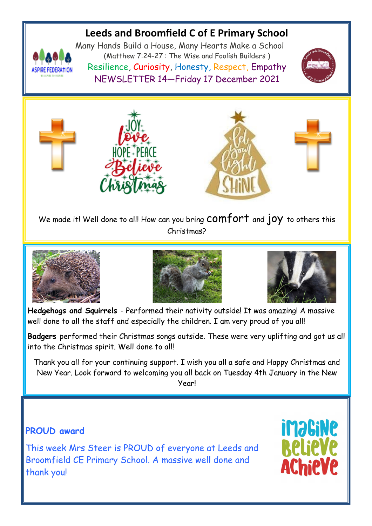# **Leeds and Broomfield C of E Primary School**



Many Hands Build a House, Many Hearts Make a School (Matthew 7:24-27 : The Wise and Foolish Builders ) Resilience, Curiosity, Honesty, Respect, Empathy NEWSLETTER 14—Friday 17 December 2021





We made it! Well done to all! How can you bring COMfOPT and jOY to others this Christmas?







**Hedgehogs and Squirrels** - Performed their nativity outside! It was amazing! A massive well done to all the staff and especially the children. I am very proud of you all!

**Badgers** performed their Christmas songs outside. These were very uplifting and got us all into the Christmas spirit. Well done to all!

Thank you all for your continuing support. I wish you all a safe and Happy Christmas and New Year. Look forward to welcoming you all back on Tuesday 4th January in the New Year!

## **iMaGiNe PROUD award** This week Mrs Steer is PROUD of everyone at Leeds and Broomfield CE Primary School. A massive well done and Chieve thank you!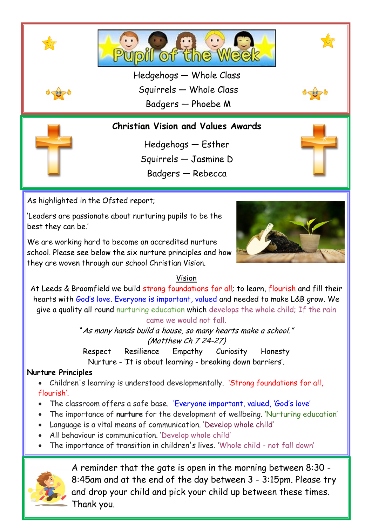

'Leaders are passionate about nurturing pupils to be the best they can be.'

We are working hard to become an accredited nurture school. Please see below the six nurture principles and how they are woven through our school Christian Vision.



### Vision

At Leeds & Broomfield we build strong foundations for all; to learn, flourish and fill their hearts with God's love. Everyone is important, valued and needed to make L&B grow. We give a quality all round nurturing education which develops the whole child; If the rain came we would not fall.

> "As many hands build a house, so many hearts make a school." (Matthew Ch 7 24-27)

Respect Resilience Empathy Curiosity Honesty Nurture - 'It is about learning - breaking down barriers'.

### **Nurture Principles**

 Children's learning is understood developmentally. 'Strong foundations for all, flourish'.

- The classroom offers a safe base. 'Everyone important, valued, 'God's love'
- The importance of **nurture** for the development of wellbeing. 'Nurturing education'
- Language is a vital means of communication. 'Develop whole child'
- All behaviour is communication. 'Develop whole child'
- The importance of transition in children's lives. 'Whole child not fall down'



A reminder that the gate is open in the morning between 8:30 - 8:45am and at the end of the day between 3 - 3:15pm. Please try and drop your child and pick your child up between these times. Thank you.